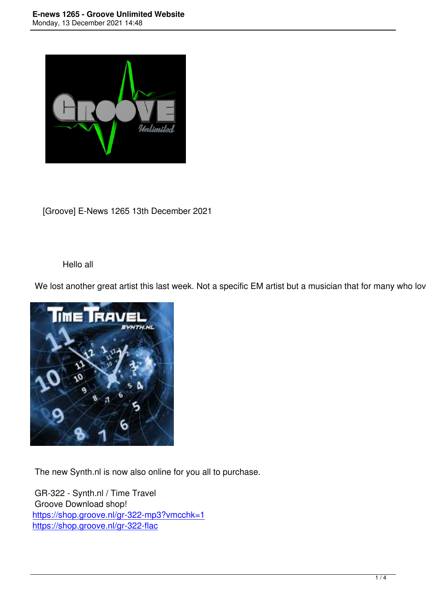

[Groove] E-News 1265 13th December 2021

## Hello all

We lost another great artist this last week. Not a specific EM artist but a musician that for many who loves



The new Synth.nl is now also online for you all to purchase.

 GR-322 - Synth.nl / Time Travel Groove Download shop! https://shop.groove.nl/gr-322-mp3?vmcchk=1 https://shop.groove.nl/gr-322-flac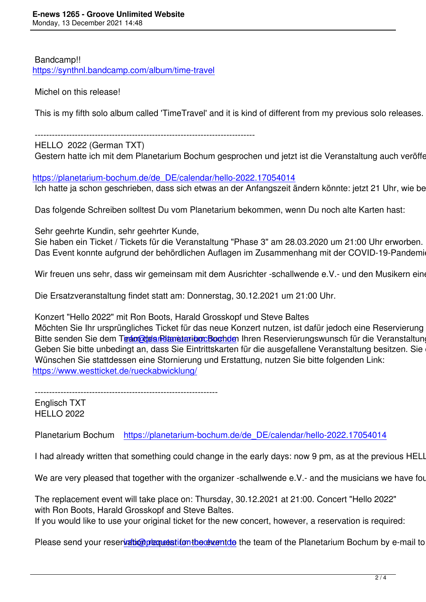Bandcamp!! https://synthnl.bandcamp.com/album/time-travel

Michel on this release!

This is my fifth solo album called 'TimeTravel' and it is kind of different from my previous solo releases. In t

-----------------------------------------------------------------------------

 HELLO 2022 (German TXT) Gestern hatte ich mit dem Planetarium Bochum gesprochen und jetzt ist die Veranstaltung auch veröffentli

https://planetarium-bochum.de/de\_DE/calendar/hello-2022.17054014 Ich hatte ja schon geschrieben, dass sich etwas an der Anfangszeit ändern könnte: jetzt 21 Uhr, wie bei de

 [Das folgende Schreiben solltest Du vom Planetarium bekommen, we](https://planetarium-bochum.de/de_DE/calendar/hello-2022.17054014)nn Du noch alte Karten hast:

Sehr geehrte Kundin, sehr geehrter Kunde,

 Sie haben ein Ticket / Tickets für die Veranstaltung "Phase 3" am 28.03.2020 um 21:00 Uhr erworben. Das Event konnte aufgrund der behördlichen Auflagen im Zusammenhang mit der COVID-19-Pandemie be

Wir freuen uns sehr, dass wir gemeinsam mit dem Ausrichter -schallwende e.V.- und den Musikern eine M

Die Ersatzveranstaltung findet statt am: Donnerstag, 30.12.2021 um 21:00 Uhr.

Konzert "Hello 2022" mit Ron Boots, Harald Grosskopf und Steve Baltes

Möchten Sie Ihr ursprüngliches Ticket für das neue Konzert nutzen, ist dafür jedoch eine Reservierung nöt Bitte senden Sie dem Tream des Planetaribun Bochden Ihren Reservierungswunsch für die Veranstaltung per Geben Sie bitte unbedingt an, dass Sie Eintrittskarten für die ausgefallene Veranstaltung besitzen. Sie erh Wünschen Sie stattdessen eine Stornierung und Erstattung, nutzen Sie bitte folgenden Link: https://www.westticket.[de/rueckabwicklung/](mailto:info@planetarium-bochum.de)

----------------------------------------------------------------

 [Englisch TXT](https://www.westticket.de/rueckabwicklung/) HELLO 2022

Planetarium Bochum https://planetarium-bochum.de/de DE/calendar/hello-2022.17054014

I had already written that something could change in the early days: now 9 pm, as at the previous HELLO  $\epsilon$ 

We are very pleased th[at together with the organizer -schallwende e.V.- and the musicians w](https://planetarium-bochum.de/de_DE/calendar/hello-2022.17054014)e have found

 The replacement event will take place on: Thursday, 30.12.2021 at 21:00. Concert "Hello 2022" with Ron Boots, Harald Grosskopf and Steve Baltes.

If you would like to use your original ticket for the new concert, however, a reservation is required:

Please send your reservation planetarium the extent of the team of the Planetarium Bochum by e-mail to: